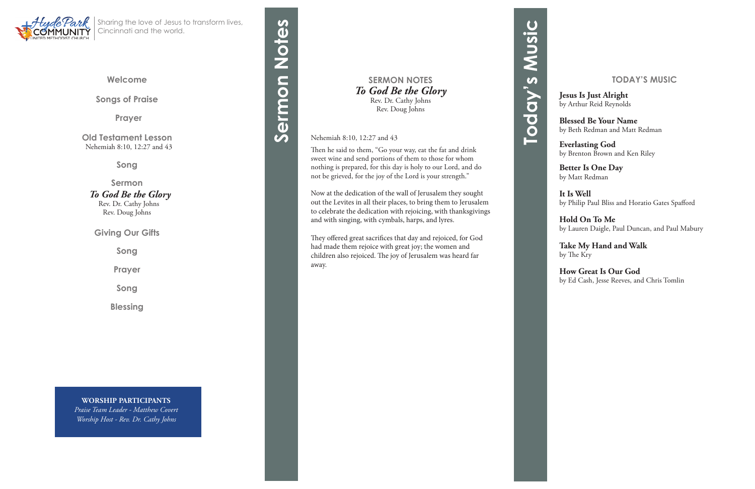**Songs of Praise**

**Prayer** 

**Old Testament Lesson** Nehemiah 8:10, 12:27 and 43

**Song**

#### **Sermon**  *To God Be the Glory*

 Rev. Dr. Cathy Johns Rev. Doug Johns

**Giving Our Gifts**

**Song**

**Prayer**

**Song**

**Blessing**



Sharing the love of Jesus to transform lives, Cincinnati and the world.

> **SERMON NOTES** *To God Be the Glory* Rev. Dr. Cathy Johns Rev. Doug Johns

Nehemiah 8:10, 12:27 and 43

Then he said to them, "Go your way, eat the fat and drink sweet wine and send portions of them to those for whom nothing is prepared, for this day is holy to our Lord, and do not be grieved, for the joy of the Lord is your strength."

# Sermon Notes **Sermon Notes**

Now at the dedication of the wall of Jerusalem they sought out the Levites in all their places, to bring them to Jerusalem to celebrate the dedication with rejoicing, with thanksgivings and with singing, with cymbals, harps, and lyres.

They offered great sacrifices that day and rejoiced, for God had made them rejoice with great joy; the women and children also rejoiced. The joy of Jerusalem was heard far away.

**WORSHIP PARTICIPANTS** *Praise Team Leader - Matthew Covert Worship Host - Rev. Dr. Cathy Johns*

#### **TODAY'S MUSIC**

**Jesus Is Just Alright** by Arthur Reid Reynolds

**Blessed Be Your Name** by Beth Redman and Matt Redman

**Everlasting God** by Brenton Brown and Ken Riley

**Better Is One Day** by Matt Redman

**It Is Well** by Philip Paul Bliss and Horatio Gates Spafford

**Hold On To Me** by Lauren Daigle, Paul Duncan, and Paul Mabury

**Take My Hand and Walk** by The Kry

**How Great Is Our God** by Ed Cash, Jesse Reeves, and Chris Tomlin